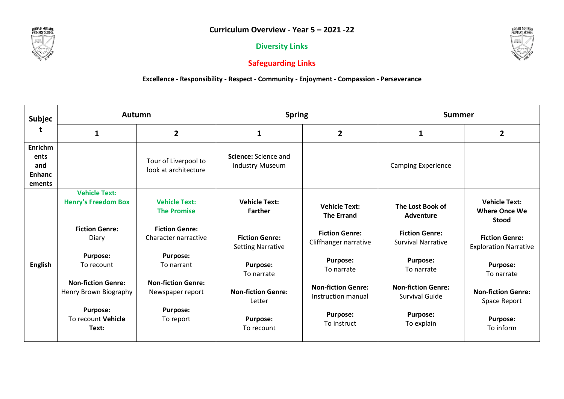**Diversity Links**



## **Safeguarding Links**

## **Excellence - Responsibility - Respect - Community - Enjoyment - Compassion - Perseverance**

| <b>Subjec</b>                                     | <b>Autumn</b>                                      |                                               | <b>Spring</b>                                     |                                                 | <b>Summer</b>                                      |                                                              |
|---------------------------------------------------|----------------------------------------------------|-----------------------------------------------|---------------------------------------------------|-------------------------------------------------|----------------------------------------------------|--------------------------------------------------------------|
| t                                                 | $\mathbf{1}$                                       | $\overline{2}$                                | $\mathbf{1}$                                      | $\overline{2}$                                  | 1                                                  | $\overline{2}$                                               |
| Enrichm<br>ents<br>and<br><b>Enhanc</b><br>ements |                                                    | Tour of Liverpool to<br>look at architecture  | Science: Science and<br><b>Industry Museum</b>    |                                                 | <b>Camping Experience</b>                          |                                                              |
| <b>English</b>                                    | <b>Vehicle Text:</b><br><b>Henry's Freedom Box</b> | <b>Vehicle Text:</b><br><b>The Promise</b>    | <b>Vehicle Text:</b><br><b>Farther</b>            | <b>Vehicle Text:</b><br><b>The Errand</b>       | The Lost Book of<br><b>Adventure</b>               | <b>Vehicle Text:</b><br><b>Where Once We</b><br><b>Stood</b> |
|                                                   | <b>Fiction Genre:</b><br>Diary                     | <b>Fiction Genre:</b><br>Character narractive | <b>Fiction Genre:</b><br><b>Setting Narrative</b> | <b>Fiction Genre:</b><br>Cliffhanger narrative  | <b>Fiction Genre:</b><br><b>Survival Narrative</b> | <b>Fiction Genre:</b><br><b>Exploration Narrative</b>        |
|                                                   | <b>Purpose:</b><br>To recount                      | <b>Purpose:</b><br>To narrant                 | <b>Purpose:</b><br>To narrate                     | <b>Purpose:</b><br>To narrate                   | <b>Purpose:</b><br>To narrate                      | <b>Purpose:</b><br>To narrate                                |
|                                                   | <b>Non-fiction Genre:</b><br>Henry Brown Biography | <b>Non-fiction Genre:</b><br>Newspaper report | <b>Non-fiction Genre:</b><br>Letter               | <b>Non-fiction Genre:</b><br>Instruction manual | <b>Non-fiction Genre:</b><br><b>Survival Guide</b> | <b>Non-fiction Genre:</b><br>Space Report                    |
|                                                   | <b>Purpose:</b><br>To recount Vehicle<br>Text:     | <b>Purpose:</b><br>To report                  | <b>Purpose:</b><br>To recount                     | <b>Purpose:</b><br>To instruct                  | <b>Purpose:</b><br>To explain                      | <b>Purpose:</b><br>To inform                                 |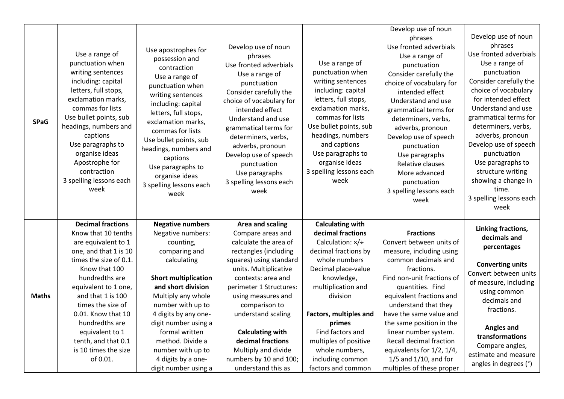| <b>SPaG</b>  | Use a range of<br>punctuation when<br>writing sentences<br>including: capital<br>letters, full stops,<br>exclamation marks,<br>commas for lists<br>Use bullet points, sub<br>headings, numbers and<br>captions<br>Use paragraphs to<br>organise ideas<br>Apostrophe for<br>contraction<br>3 spelling lessons each<br>week                            | Use apostrophes for<br>possession and<br>contraction<br>Use a range of<br>punctuation when<br>writing sentences<br>including: capital<br>letters, full stops,<br>exclamation marks,<br>commas for lists<br>Use bullet points, sub<br>headings, numbers and<br>captions<br>Use paragraphs to<br>organise ideas<br>3 spelling lessons each<br>week   | Develop use of noun<br>phrases<br>Use fronted adverbials<br>Use a range of<br>punctuation<br>Consider carefully the<br>choice of vocabulary for<br>intended effect<br>Understand and use<br>grammatical terms for<br>determiners, verbs,<br>adverbs, pronoun<br>Develop use of speech<br>punctuation<br>Use paragraphs<br>3 spelling lessons each<br>week                        | Use a range of<br>punctuation when<br>writing sentences<br>including: capital<br>letters, full stops,<br>exclamation marks,<br>commas for lists<br>Use bullet points, sub<br>headings, numbers<br>and captions<br>Use paragraphs to<br>organise ideas<br>3 spelling lessons each<br>week                                              | Develop use of noun<br>phrases<br>Use fronted adverbials<br>Use a range of<br>punctuation<br>Consider carefully the<br>choice of vocabulary for<br>intended effect<br>Understand and use<br>grammatical terms for<br>determiners, verbs,<br>adverbs, pronoun<br>Develop use of speech<br>punctuation<br>Use paragraphs<br>Relative clauses<br>More advanced<br>punctuation<br>3 spelling lessons each<br>week          | Develop use of noun<br>phrases<br>Use fronted adverbials<br>Use a range of<br>punctuation<br>Consider carefully the<br>choice of vocabulary<br>for intended effect<br>Understand and use<br>grammatical terms for<br>determiners, verbs,<br>adverbs, pronoun<br>Develop use of speech<br>punctuation<br>Use paragraphs to<br>structure writing<br>showing a change in<br>time.<br>3 spelling lessons each<br>week |
|--------------|------------------------------------------------------------------------------------------------------------------------------------------------------------------------------------------------------------------------------------------------------------------------------------------------------------------------------------------------------|----------------------------------------------------------------------------------------------------------------------------------------------------------------------------------------------------------------------------------------------------------------------------------------------------------------------------------------------------|----------------------------------------------------------------------------------------------------------------------------------------------------------------------------------------------------------------------------------------------------------------------------------------------------------------------------------------------------------------------------------|---------------------------------------------------------------------------------------------------------------------------------------------------------------------------------------------------------------------------------------------------------------------------------------------------------------------------------------|------------------------------------------------------------------------------------------------------------------------------------------------------------------------------------------------------------------------------------------------------------------------------------------------------------------------------------------------------------------------------------------------------------------------|-------------------------------------------------------------------------------------------------------------------------------------------------------------------------------------------------------------------------------------------------------------------------------------------------------------------------------------------------------------------------------------------------------------------|
| <b>Maths</b> | <b>Decimal fractions</b><br>Know that 10 tenths<br>are equivalent to 1<br>one, and that 1 is 10<br>times the size of 0.1.<br>Know that 100<br>hundredths are<br>equivalent to 1 one,<br>and that 1 is 100<br>times the size of<br>0.01. Know that 10<br>hundredths are<br>equivalent to 1<br>tenth, and that 0.1<br>is 10 times the size<br>of 0.01. | <b>Negative numbers</b><br>Negative numbers:<br>counting,<br>comparing and<br>calculating<br><b>Short multiplication</b><br>and short division<br>Multiply any whole<br>number with up to<br>4 digits by any one-<br>digit number using a<br>formal written<br>method. Divide a<br>number with up to<br>4 digits by a one-<br>digit number using a | Area and scaling<br>Compare areas and<br>calculate the area of<br>rectangles (including<br>squares) using standard<br>units. Multiplicative<br>contexts: area and<br>perimeter 1 Structures:<br>using measures and<br>comparison to<br>understand scaling<br><b>Calculating with</b><br>decimal fractions<br>Multiply and divide<br>numbers by 10 and 100;<br>understand this as | <b>Calculating with</b><br>decimal fractions<br>Calculation: $\times$ /÷<br>decimal fractions by<br>whole numbers<br>Decimal place-value<br>knowledge,<br>multiplication and<br>division<br>Factors, multiples and<br>primes<br>Find factors and<br>multiples of positive<br>whole numbers,<br>including common<br>factors and common | <b>Fractions</b><br>Convert between units of<br>measure, including using<br>common decimals and<br>fractions.<br>Find non-unit fractions of<br>quantities. Find<br>equivalent fractions and<br>understand that they<br>have the same value and<br>the same position in the<br>linear number system.<br>Recall decimal fraction<br>equivalents for 1/2, 1/4,<br>$1/5$ and $1/10$ , and for<br>multiples of these proper | Linking fractions,<br>decimals and<br>percentages<br><b>Converting units</b><br>Convert between units<br>of measure, including<br>using common<br>decimals and<br>fractions.<br><b>Angles and</b><br>transformations<br>Compare angles,<br>estimate and measure<br>angles in degrees (°)                                                                                                                          |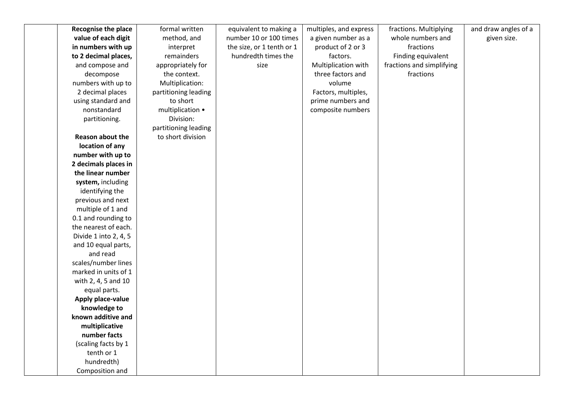| Recognise the place               | formal written       | equivalent to making a    | multiples, and express | fractions. Multiplying    | and draw angles of a |
|-----------------------------------|----------------------|---------------------------|------------------------|---------------------------|----------------------|
| value of each digit               | method, and          | number 10 or 100 times    | a given number as a    | whole numbers and         | given size.          |
| in numbers with up                | interpret            | the size, or 1 tenth or 1 | product of 2 or 3      | fractions                 |                      |
| to 2 decimal places,              | remainders           | hundredth times the       | factors.               | Finding equivalent        |                      |
| and compose and                   | appropriately for    | size                      | Multiplication with    | fractions and simplifying |                      |
| decompose                         | the context.         |                           | three factors and      | fractions                 |                      |
| numbers with up to                | Multiplication:      |                           | volume                 |                           |                      |
| 2 decimal places                  | partitioning leading |                           | Factors, multiples,    |                           |                      |
| using standard and                | to short             |                           | prime numbers and      |                           |                      |
| nonstandard                       | multiplication •     |                           | composite numbers      |                           |                      |
| partitioning.                     | Division:            |                           |                        |                           |                      |
|                                   | partitioning leading |                           |                        |                           |                      |
| Reason about the                  | to short division    |                           |                        |                           |                      |
| location of any                   |                      |                           |                        |                           |                      |
| number with up to                 |                      |                           |                        |                           |                      |
| 2 decimals places in              |                      |                           |                        |                           |                      |
| the linear number                 |                      |                           |                        |                           |                      |
| system, including                 |                      |                           |                        |                           |                      |
| identifying the                   |                      |                           |                        |                           |                      |
| previous and next                 |                      |                           |                        |                           |                      |
| multiple of 1 and                 |                      |                           |                        |                           |                      |
| 0.1 and rounding to               |                      |                           |                        |                           |                      |
| the nearest of each.              |                      |                           |                        |                           |                      |
| Divide 1 into 2, 4, 5             |                      |                           |                        |                           |                      |
| and 10 equal parts,               |                      |                           |                        |                           |                      |
| and read                          |                      |                           |                        |                           |                      |
| scales/number lines               |                      |                           |                        |                           |                      |
| marked in units of 1              |                      |                           |                        |                           |                      |
| with 2, 4, 5 and 10               |                      |                           |                        |                           |                      |
| equal parts.                      |                      |                           |                        |                           |                      |
| Apply place-value                 |                      |                           |                        |                           |                      |
| knowledge to                      |                      |                           |                        |                           |                      |
| known additive and                |                      |                           |                        |                           |                      |
| multiplicative                    |                      |                           |                        |                           |                      |
| number facts                      |                      |                           |                        |                           |                      |
| (scaling facts by 1<br>tenth or 1 |                      |                           |                        |                           |                      |
|                                   |                      |                           |                        |                           |                      |
| hundredth)                        |                      |                           |                        |                           |                      |
| Composition and                   |                      |                           |                        |                           |                      |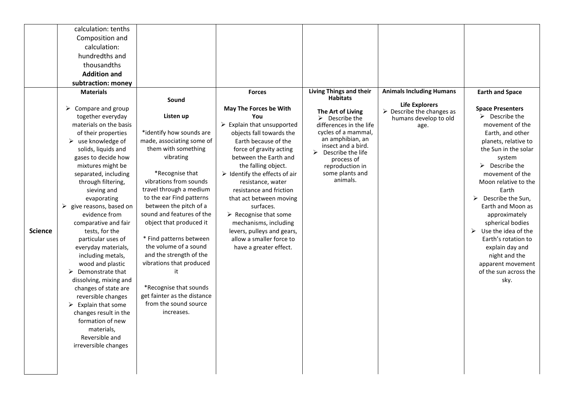|                | calculation: tenths               |                                                     |                                                    |                                        |                                                                   |                                 |
|----------------|-----------------------------------|-----------------------------------------------------|----------------------------------------------------|----------------------------------------|-------------------------------------------------------------------|---------------------------------|
|                | Composition and                   |                                                     |                                                    |                                        |                                                                   |                                 |
|                | calculation:                      |                                                     |                                                    |                                        |                                                                   |                                 |
|                | hundredths and                    |                                                     |                                                    |                                        |                                                                   |                                 |
|                | thousandths                       |                                                     |                                                    |                                        |                                                                   |                                 |
|                | <b>Addition and</b>               |                                                     |                                                    |                                        |                                                                   |                                 |
|                | subtraction: money                |                                                     |                                                    |                                        |                                                                   |                                 |
|                | <b>Materials</b>                  |                                                     | <b>Forces</b>                                      | <b>Living Things and their</b>         | <b>Animals Including Humans</b>                                   | <b>Earth and Space</b>          |
|                |                                   | Sound                                               |                                                    | <b>Habitats</b>                        |                                                                   |                                 |
|                | Compare and group<br>➤            |                                                     | May The Forces be With                             | The Art of Living                      | <b>Life Explorers</b><br>$\triangleright$ Describe the changes as | <b>Space Presenters</b>         |
|                | together everyday                 | Listen up                                           | You                                                | $\triangleright$ Describe the          | humans develop to old                                             | $\triangleright$ Describe the   |
|                | materials on the basis            |                                                     | $\triangleright$ Explain that unsupported          | differences in the life                | age.                                                              | movement of the                 |
|                | of their properties               | *identify how sounds are                            | objects fall towards the                           | cycles of a mammal,                    |                                                                   | Earth, and other                |
|                | $\triangleright$ use knowledge of | made, associating some of                           | Earth because of the                               | an amphibian, an<br>insect and a bird. |                                                                   | planets, relative to            |
|                | solids, liquids and               | them with something                                 | force of gravity acting                            | Describe the life                      |                                                                   | the Sun in the solar            |
|                | gases to decide how               | vibrating                                           | between the Earth and                              | process of                             |                                                                   | system                          |
|                | mixtures might be                 |                                                     | the falling object.                                | reproduction in                        |                                                                   | $\triangleright$ Describe the   |
|                | separated, including              | *Recognise that<br>vibrations from sounds           | $\triangleright$ Identify the effects of air       | some plants and<br>animals.            |                                                                   | movement of the                 |
|                | through filtering,                |                                                     | resistance, water                                  |                                        |                                                                   | Moon relative to the            |
|                | sieving and<br>evaporating        | travel through a medium<br>to the ear Find patterns | resistance and friction<br>that act between moving |                                        |                                                                   | Earth<br>Describe the Sun,<br>➤ |
|                | give reasons, based on<br>➤       | between the pitch of a                              | surfaces.                                          |                                        |                                                                   | Earth and Moon as               |
|                | evidence from                     | sound and features of the                           | $\triangleright$ Recognise that some               |                                        |                                                                   | approximately                   |
|                | comparative and fair              | object that produced it                             | mechanisms, including                              |                                        |                                                                   | spherical bodies                |
| <b>Science</b> | tests, for the                    |                                                     | levers, pulleys and gears,                         |                                        |                                                                   | Use the idea of the             |
|                | particular uses of                | * Find patterns between                             | allow a smaller force to                           |                                        |                                                                   | Earth's rotation to             |
|                | everyday materials,               | the volume of a sound                               | have a greater effect.                             |                                        |                                                                   | explain day and                 |
|                | including metals,                 | and the strength of the                             |                                                    |                                        |                                                                   | night and the                   |
|                | wood and plastic                  | vibrations that produced                            |                                                    |                                        |                                                                   | apparent movement               |
|                | $\triangleright$ Demonstrate that |                                                     |                                                    |                                        |                                                                   | of the sun across the           |
|                | dissolving, mixing and            |                                                     |                                                    |                                        |                                                                   | sky.                            |
|                | changes of state are              | *Recognise that sounds                              |                                                    |                                        |                                                                   |                                 |
|                | reversible changes                | get fainter as the distance                         |                                                    |                                        |                                                                   |                                 |
|                | Explain that some<br>➤            | from the sound source                               |                                                    |                                        |                                                                   |                                 |
|                | changes result in the             | increases.                                          |                                                    |                                        |                                                                   |                                 |
|                | formation of new                  |                                                     |                                                    |                                        |                                                                   |                                 |
|                | materials,                        |                                                     |                                                    |                                        |                                                                   |                                 |
|                | Reversible and                    |                                                     |                                                    |                                        |                                                                   |                                 |
|                | irreversible changes              |                                                     |                                                    |                                        |                                                                   |                                 |
|                |                                   |                                                     |                                                    |                                        |                                                                   |                                 |
|                |                                   |                                                     |                                                    |                                        |                                                                   |                                 |
|                |                                   |                                                     |                                                    |                                        |                                                                   |                                 |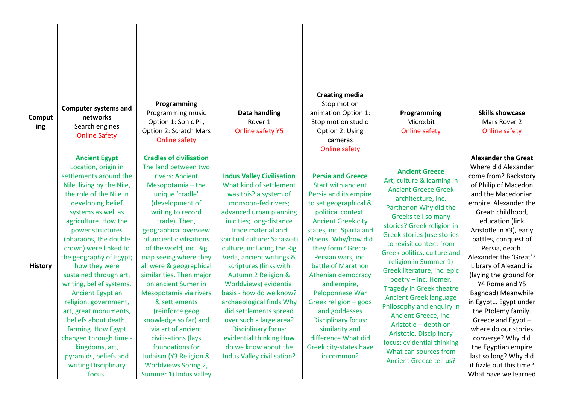| Comput<br>ing  | <b>Computer systems and</b><br>networks<br>Search engines<br><b>Online Safety</b>                                                                                                                                                                                                                     | Programming<br>Programming music<br>Option 1: Sonic Pi,<br>Option 2: Scratch Mars                                                                                                                                                                                                                             | Data handling<br>Rover <sub>1</sub><br><b>Online safety Y5</b>                                                                                                                                                                                                                                            | <b>Creating media</b><br>Stop motion<br>animation Option 1:<br>Stop motion studio<br>Option 2: Using                                                                                                                                                                          | Programming<br>Micro:bit<br>Online safety                                                                                                                                                                                                                                                                                | <b>Skills showcase</b><br>Mars Rover 2<br><b>Online safety</b>                                                                                                                                                                                                                                                |
|----------------|-------------------------------------------------------------------------------------------------------------------------------------------------------------------------------------------------------------------------------------------------------------------------------------------------------|---------------------------------------------------------------------------------------------------------------------------------------------------------------------------------------------------------------------------------------------------------------------------------------------------------------|-----------------------------------------------------------------------------------------------------------------------------------------------------------------------------------------------------------------------------------------------------------------------------------------------------------|-------------------------------------------------------------------------------------------------------------------------------------------------------------------------------------------------------------------------------------------------------------------------------|--------------------------------------------------------------------------------------------------------------------------------------------------------------------------------------------------------------------------------------------------------------------------------------------------------------------------|---------------------------------------------------------------------------------------------------------------------------------------------------------------------------------------------------------------------------------------------------------------------------------------------------------------|
|                |                                                                                                                                                                                                                                                                                                       | <b>Online safety</b>                                                                                                                                                                                                                                                                                          |                                                                                                                                                                                                                                                                                                           | cameras<br><b>Online safety</b>                                                                                                                                                                                                                                               |                                                                                                                                                                                                                                                                                                                          |                                                                                                                                                                                                                                                                                                               |
|                | <b>Ancient Egypt</b><br>Location, origin in<br>settlements around the<br>Nile, living by the Nile,<br>the role of the Nile in<br>developing belief<br>systems as well as<br>agriculture. How the<br>power structures<br>(pharaohs, the double<br>crown) were linked to<br>the geography of Egypt;     | <b>Cradles of civilisation</b><br>The land between two<br>rivers: Ancient<br>Mesopotamia - the<br>unique 'cradle'<br>(development of<br>writing to record<br>trade). Then,<br>geographical overview<br>of ancient civilisations<br>of the world, inc. Big<br>map seeing where they                            | <b>Indus Valley Civilisation</b><br>What kind of settlement<br>was this? a system of<br>monsoon-fed rivers;<br>advanced urban planning<br>in cities; long-distance<br>trade material and<br>spiritual culture: Sarasvati<br>culture, including the Rig<br>Veda, ancient writings &                        | <b>Persia and Greece</b><br><b>Start with ancient</b><br>Persia and its empire<br>to set geographical &<br>political context.<br><b>Ancient Greek city</b><br>states, inc. Sparta and<br>Athens. Why/how did<br>they form? Greco-<br>Persian wars, inc.<br>battle of Marathon | <b>Ancient Greece</b><br>Art, culture & learning in<br><b>Ancient Greece Greek</b><br>architecture, inc.<br>Parthenon Why did the<br>Greeks tell so many<br>stories? Greek religion in<br><b>Greek stories (use stories</b><br>to revisit content from<br>Greek politics, culture and<br>religion in Summer 1)           | <b>Alexander the Great</b><br>Where did Alexander<br>come from? Backstory<br>of Philip of Macedon<br>and the Macedonian<br>empire. Alexander the<br>Great: childhood,<br>education (link<br>Aristotle in Y3), early<br>battles, conquest of<br>Persia, death.<br>Alexander the 'Great'?                       |
| <b>History</b> | how they were<br>sustained through art,<br>writing, belief systems.<br><b>Ancient Egyptian</b><br>religion, government,<br>art, great monuments,<br>beliefs about death,<br>farming. How Egypt<br>changed through time -<br>kingdoms, art,<br>pyramids, beliefs and<br>writing Disciplinary<br>focus: | all were & geographical<br>similarities. Then major<br>on ancient Sumer in<br>Mesopotamia via rivers<br>& settlements<br>(reinforce geog<br>knowledge so far) and<br>via art of ancient<br>civilisations (lays<br>foundations for<br>Judaism (Y3 Religion &<br>Worldviews Spring 2,<br>Summer 1) Indus valley | scriptures (links with<br>Autumn 2 Religion &<br>Worldviews) evidential<br>basis - how do we know?<br>archaeological finds Why<br>did settlements spread<br>over such a large area?<br><b>Disciplinary focus:</b><br>evidential thinking How<br>do we know about the<br><b>Indus Valley civilisation?</b> | Athenian democracy<br>and empire,<br>Peloponnese War<br>Greek religion - gods<br>and goddesses<br><b>Disciplinary focus:</b><br>similarity and<br>difference What did<br>Greek city-states have<br>in common?                                                                 | Greek literature, inc. epic<br>poetry - inc. Homer.<br><b>Tragedy in Greek theatre</b><br><b>Ancient Greek language</b><br>Philosophy and enquiry in<br>Ancient Greece, inc.<br>Aristotle - depth on<br>Aristotle. Disciplinary<br>focus: evidential thinking<br>What can sources from<br><b>Ancient Greece tell us?</b> | Library of Alexandria<br>(laying the ground for<br>Y4 Rome and Y5<br>Baghdad) Meanwhile<br>in Egypt Egypt under<br>the Ptolemy family.<br>Greece and Egypt -<br>where do our stories<br>converge? Why did<br>the Egyptian empire<br>last so long? Why did<br>it fizzle out this time?<br>What have we learned |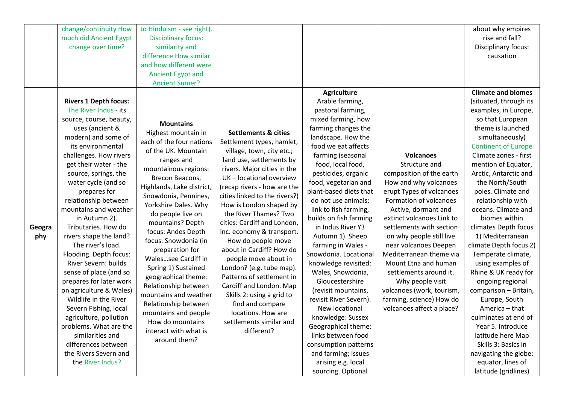|               | change/continuity How<br>much did Ancient Egypt<br>change over time?                                                                                                                                                                                                                                                                                                                                                                                                                                                                                                                                                                                                                                                                      | to Hinduism - see right).<br><b>Disciplinary focus:</b><br>similarity and<br>difference How similar<br>and how different were<br>Ancient Egypt and<br><b>Ancient Sumer?</b>                                                                                                                                                                                                                                                                                                                                                                                                   |                                                                                                                                                                                                                                                                                                                                                                                                                                                                                                                                                                                                                                                |                                                                                                                                                                                                                                                                                                                                                                                                                                                                                                                                                                                                                                                                                                                                           |                                                                                                                                                                                                                                                                                                                                                                                                                                                                          | about why empires<br>rise and fall?<br>Disciplinary focus:<br>causation                                                                                                                                                                                                                                                                                                                                                                                                                                                                                                                                                                                                                                                                      |
|---------------|-------------------------------------------------------------------------------------------------------------------------------------------------------------------------------------------------------------------------------------------------------------------------------------------------------------------------------------------------------------------------------------------------------------------------------------------------------------------------------------------------------------------------------------------------------------------------------------------------------------------------------------------------------------------------------------------------------------------------------------------|-------------------------------------------------------------------------------------------------------------------------------------------------------------------------------------------------------------------------------------------------------------------------------------------------------------------------------------------------------------------------------------------------------------------------------------------------------------------------------------------------------------------------------------------------------------------------------|------------------------------------------------------------------------------------------------------------------------------------------------------------------------------------------------------------------------------------------------------------------------------------------------------------------------------------------------------------------------------------------------------------------------------------------------------------------------------------------------------------------------------------------------------------------------------------------------------------------------------------------------|-------------------------------------------------------------------------------------------------------------------------------------------------------------------------------------------------------------------------------------------------------------------------------------------------------------------------------------------------------------------------------------------------------------------------------------------------------------------------------------------------------------------------------------------------------------------------------------------------------------------------------------------------------------------------------------------------------------------------------------------|--------------------------------------------------------------------------------------------------------------------------------------------------------------------------------------------------------------------------------------------------------------------------------------------------------------------------------------------------------------------------------------------------------------------------------------------------------------------------|----------------------------------------------------------------------------------------------------------------------------------------------------------------------------------------------------------------------------------------------------------------------------------------------------------------------------------------------------------------------------------------------------------------------------------------------------------------------------------------------------------------------------------------------------------------------------------------------------------------------------------------------------------------------------------------------------------------------------------------------|
| Geogra<br>phy | <b>Rivers 1 Depth focus:</b><br>The River Indus - its<br>source, course, beauty,<br>uses (ancient &<br>modern) and some of<br>its environmental<br>challenges. How rivers<br>get their water - the<br>source, springs, the<br>water cycle (and so<br>prepares for<br>relationship between<br>mountains and weather<br>in Autumn 2).<br>Tributaries. How do<br>rivers shape the land?<br>The river's load.<br>Flooding. Depth focus:<br>River Severn: builds<br>sense of place (and so<br>prepares for later work<br>on agriculture & Wales)<br>Wildlife in the River<br>Severn Fishing, local<br>agriculture, pollution<br>problems. What are the<br>similarities and<br>differences between<br>the Rivers Severn and<br>the River Indus? | <b>Mountains</b><br>Highest mountain in<br>each of the four nations<br>of the UK. Mountain<br>ranges and<br>mountainous regions:<br>Brecon Beacons,<br>Highlands, Lake district,<br>Snowdonia, Pennines,<br>Yorkshire Dales. Why<br>do people live on<br>mountains? Depth<br>focus: Andes Depth<br>focus: Snowdonia (in<br>preparation for<br>Walessee Cardiff in<br>Spring 1) Sustained<br>geographical theme:<br>Relationship between<br>mountains and weather<br>Relationship between<br>mountains and people<br>How do mountains<br>interact with what is<br>around them? | <b>Settlements &amp; cities</b><br>Settlement types, hamlet,<br>village, town, city etc.;<br>land use, settlements by<br>rivers. Major cities in the<br>UK - locational overview<br>(recap rivers - how are the<br>cities linked to the rivers?)<br>How is London shaped by<br>the River Thames? Two<br>cities: Cardiff and London,<br>inc. economy & transport.<br>How do people move<br>about in Cardiff? How do<br>people move about in<br>London? (e.g. tube map).<br>Patterns of settlement in<br>Cardiff and London. Map<br>Skills 2: using a grid to<br>find and compare<br>locations. How are<br>settlements similar and<br>different? | <b>Agriculture</b><br>Arable farming,<br>pastoral farming,<br>mixed farming, how<br>farming changes the<br>landscape. How the<br>food we eat affects<br>farming (seasonal<br>food, local food,<br>pesticides, organic<br>food, vegetarian and<br>plant-based diets that<br>do not use animals;<br>link to fish farming,<br>builds on fish farming<br>in Indus River Y3<br>Autumn 1). Sheep<br>farming in Wales -<br>Snowdonia. Locational<br>knowledge revisited:<br>Wales, Snowdonia,<br>Gloucestershire<br>(revisit mountains,<br>revisit River Severn).<br>New locational<br>knowledge: Sussex<br>Geographical theme:<br>links between food<br>consumption patterns<br>and farming; issues<br>arising e.g. local<br>sourcing. Optional | <b>Volcanoes</b><br>Structure and<br>composition of the earth<br>How and why volcanoes<br>erupt Types of volcanoes<br>Formation of volcanoes<br>Active, dormant and<br>extinct volcanoes Link to<br>settlements with section<br>on why people still live<br>near volcanoes Deepen<br>Mediterranean theme via<br>Mount Etna and human<br>settlements around it.<br>Why people visit<br>volcanoes (work, tourism,<br>farming, science) How do<br>volcanoes affect a place? | <b>Climate and biomes</b><br>(situated, through its<br>examples, in Europe,<br>so that European<br>theme is launched<br>simultaneously)<br><b>Continent of Europe</b><br>Climate zones - first<br>mention of Equator,<br>Arctic, Antarctic and<br>the North/South<br>poles. Climate and<br>relationship with<br>oceans. Climate and<br>biomes within<br>climates Depth focus<br>1) Mediterranean<br>climate Depth focus 2)<br>Temperate climate,<br>using examples of<br>Rhine & UK ready for<br>ongoing regional<br>comparison - Britain,<br>Europe, South<br>America - that<br>culminates at end of<br>Year 5. Introduce<br>latitude here Map<br>Skills 3: Basics in<br>navigating the globe:<br>equator, lines of<br>latitude (gridlines) |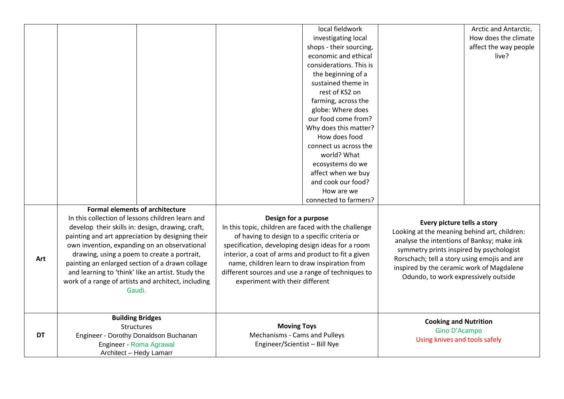|           |                                                                                                          |                                                 |                                                                                                          | local fieldwork                               |                                                                                           | Arctic and Antarctic. |
|-----------|----------------------------------------------------------------------------------------------------------|-------------------------------------------------|----------------------------------------------------------------------------------------------------------|-----------------------------------------------|-------------------------------------------------------------------------------------------|-----------------------|
|           |                                                                                                          |                                                 |                                                                                                          | investigating local                           |                                                                                           | How does the climate  |
|           |                                                                                                          |                                                 |                                                                                                          | shops - their sourcing,                       |                                                                                           | affect the way people |
|           |                                                                                                          |                                                 |                                                                                                          | economic and ethical                          |                                                                                           | live?                 |
|           |                                                                                                          |                                                 |                                                                                                          | considerations. This is                       |                                                                                           |                       |
|           |                                                                                                          |                                                 |                                                                                                          | the beginning of a                            |                                                                                           |                       |
|           |                                                                                                          |                                                 |                                                                                                          | sustained theme in                            |                                                                                           |                       |
|           |                                                                                                          |                                                 |                                                                                                          | rest of KS2 on                                |                                                                                           |                       |
|           |                                                                                                          |                                                 |                                                                                                          | farming, across the                           |                                                                                           |                       |
|           |                                                                                                          |                                                 |                                                                                                          | globe: Where does                             |                                                                                           |                       |
|           |                                                                                                          |                                                 |                                                                                                          | our food come from?                           |                                                                                           |                       |
|           |                                                                                                          |                                                 |                                                                                                          | Why does this matter?                         |                                                                                           |                       |
|           |                                                                                                          |                                                 |                                                                                                          | How does food                                 |                                                                                           |                       |
|           |                                                                                                          |                                                 |                                                                                                          | connect us across the                         |                                                                                           |                       |
|           |                                                                                                          |                                                 |                                                                                                          | world? What                                   |                                                                                           |                       |
|           |                                                                                                          |                                                 |                                                                                                          | ecosystems do we                              |                                                                                           |                       |
|           |                                                                                                          |                                                 |                                                                                                          | affect when we buy                            |                                                                                           |                       |
|           |                                                                                                          |                                                 |                                                                                                          | and cook our food?                            |                                                                                           |                       |
|           |                                                                                                          |                                                 |                                                                                                          | How are we                                    |                                                                                           |                       |
|           |                                                                                                          |                                                 |                                                                                                          | connected to farmers?                         |                                                                                           |                       |
|           | <b>Formal elements of architecture</b>                                                                   |                                                 |                                                                                                          |                                               |                                                                                           |                       |
|           | In this collection of lessons children learn and                                                         |                                                 | Design for a purpose                                                                                     |                                               |                                                                                           |                       |
|           | develop their skills in: design, drawing, craft,                                                         |                                                 | In this topic, children are faced with the challenge<br>of having to design to a specific criteria or    |                                               | Every picture tells a story<br>Looking at the meaning behind art, children:               |                       |
|           | painting and art appreciation by designing their                                                         |                                                 |                                                                                                          |                                               |                                                                                           |                       |
|           | own invention, expanding on an observational<br>drawing, using a poem to create a portrait,              |                                                 | specification, developing design ideas for a room<br>interior, a coat of arms and product to fit a given |                                               | analyse the intentions of Banksy; make ink<br>symmetry prints inspired by psychologist    |                       |
| Art       |                                                                                                          |                                                 |                                                                                                          |                                               |                                                                                           |                       |
|           |                                                                                                          | painting an enlarged section of a drawn collage |                                                                                                          | name, children learn to draw inspiration from | Rorschach; tell a story using emojis and are<br>inspired by the ceramic work of Magdalene |                       |
|           | and learning to 'think' like an artist. Study the<br>work of a range of artists and architect, including |                                                 | different sources and use a range of techniques to                                                       |                                               | Odundo, to work expressively outside                                                      |                       |
|           |                                                                                                          |                                                 | experiment with their different                                                                          |                                               |                                                                                           |                       |
|           | Gaudi.                                                                                                   |                                                 |                                                                                                          |                                               |                                                                                           |                       |
|           |                                                                                                          |                                                 |                                                                                                          |                                               |                                                                                           |                       |
|           |                                                                                                          |                                                 |                                                                                                          |                                               |                                                                                           |                       |
|           | <b>Building Bridges</b>                                                                                  |                                                 |                                                                                                          |                                               | <b>Cooking and Nutrition</b>                                                              |                       |
|           | Structures                                                                                               |                                                 | <b>Moving Toys</b>                                                                                       |                                               | Gino D'Acampo                                                                             |                       |
| <b>DT</b> | Engineer - Dorothy Donaldson Buchanan                                                                    |                                                 | Mechanisms - Cams and Pulleys                                                                            |                                               |                                                                                           |                       |
|           | Engineer - Roma Agrawal                                                                                  |                                                 | Engineer/Scientist - Bill Nye                                                                            |                                               | Using knives and tools safely                                                             |                       |
|           |                                                                                                          | Architect - Hedy Lamarr                         |                                                                                                          |                                               |                                                                                           |                       |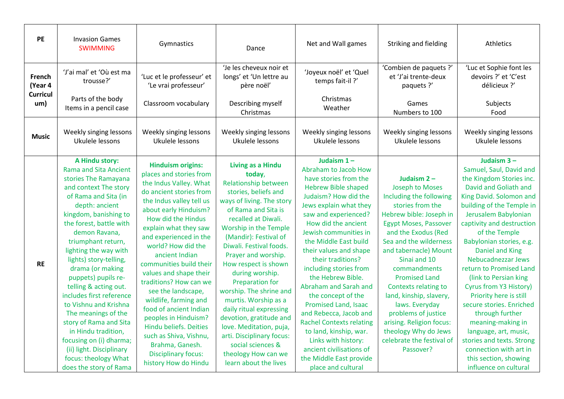| <b>PE</b>                                   | <b>Invasion Games</b><br><b>SWIMMING</b>                                                                                                                                                                                                                                                                                                                                                                                                                                                                                                                                                          | Gymnastics                                                                                                                                                                                                                                                                                                                                                                                                                                                                                                                                                                                         | Dance                                                                                                                                                                                                                                                                                                                                                                                                                                                                                                                                                                               | Net and Wall games                                                                                                                                                                                                                                                                                                                                                                                                                                                                                                                                                                                                     | Striking and fielding                                                                                                                                                                                                                                                                                                                                                                                                                                                         | Athletics                                                                                                                                                                                                                                                                                                                                                                                                                                                                                                                                                                                                          |
|---------------------------------------------|---------------------------------------------------------------------------------------------------------------------------------------------------------------------------------------------------------------------------------------------------------------------------------------------------------------------------------------------------------------------------------------------------------------------------------------------------------------------------------------------------------------------------------------------------------------------------------------------------|----------------------------------------------------------------------------------------------------------------------------------------------------------------------------------------------------------------------------------------------------------------------------------------------------------------------------------------------------------------------------------------------------------------------------------------------------------------------------------------------------------------------------------------------------------------------------------------------------|-------------------------------------------------------------------------------------------------------------------------------------------------------------------------------------------------------------------------------------------------------------------------------------------------------------------------------------------------------------------------------------------------------------------------------------------------------------------------------------------------------------------------------------------------------------------------------------|------------------------------------------------------------------------------------------------------------------------------------------------------------------------------------------------------------------------------------------------------------------------------------------------------------------------------------------------------------------------------------------------------------------------------------------------------------------------------------------------------------------------------------------------------------------------------------------------------------------------|-------------------------------------------------------------------------------------------------------------------------------------------------------------------------------------------------------------------------------------------------------------------------------------------------------------------------------------------------------------------------------------------------------------------------------------------------------------------------------|--------------------------------------------------------------------------------------------------------------------------------------------------------------------------------------------------------------------------------------------------------------------------------------------------------------------------------------------------------------------------------------------------------------------------------------------------------------------------------------------------------------------------------------------------------------------------------------------------------------------|
| French<br>(Year 4<br><b>Curricul</b><br>um) | 'J'ai mal' et 'Où est ma<br>trousse?'<br>Parts of the body<br>Items in a pencil case                                                                                                                                                                                                                                                                                                                                                                                                                                                                                                              | 'Luc et le professeur' et<br>'Le vrai professeur'<br>Classroom vocabulary                                                                                                                                                                                                                                                                                                                                                                                                                                                                                                                          | 'Je les cheveux noir et<br>longs' et 'Un lettre au<br>père noël'<br>Describing myself<br>Christmas                                                                                                                                                                                                                                                                                                                                                                                                                                                                                  | 'Joyeux noël' et 'Quel<br>temps fait-il?'<br>Christmas<br>Weather                                                                                                                                                                                                                                                                                                                                                                                                                                                                                                                                                      | 'Combien de paquets ?'<br>et 'J'ai trente-deux<br>paquets ?'<br>Games<br>Numbers to 100                                                                                                                                                                                                                                                                                                                                                                                       | 'Luc et Sophie font les<br>devoirs ?' et 'C'est<br>délicieux ?'<br>Subjects<br>Food                                                                                                                                                                                                                                                                                                                                                                                                                                                                                                                                |
| <b>Music</b>                                | Weekly singing lessons<br>Ukulele lessons                                                                                                                                                                                                                                                                                                                                                                                                                                                                                                                                                         | Weekly singing lessons<br>Ukulele lessons                                                                                                                                                                                                                                                                                                                                                                                                                                                                                                                                                          | Weekly singing lessons<br>Ukulele lessons                                                                                                                                                                                                                                                                                                                                                                                                                                                                                                                                           | Weekly singing lessons<br>Ukulele lessons                                                                                                                                                                                                                                                                                                                                                                                                                                                                                                                                                                              | Weekly singing lessons<br>Ukulele lessons                                                                                                                                                                                                                                                                                                                                                                                                                                     | Weekly singing lessons<br>Ukulele lessons                                                                                                                                                                                                                                                                                                                                                                                                                                                                                                                                                                          |
| <b>RE</b>                                   | A Hindu story:<br><b>Rama and Sita Ancient</b><br>stories The Ramayana<br>and context The story<br>of Rama and Sita (in<br>depth: ancient<br>kingdom, banishing to<br>the forest, battle with<br>demon Ravana,<br>triumphant return,<br>lighting the way with<br>lights) story-telling,<br>drama (or making<br>puppets) pupils re-<br>telling & acting out.<br>includes first reference<br>to Vishnu and Krishna<br>The meanings of the<br>story of Rama and Sita<br>in Hindu tradition,<br>focusing on (i) dharma;<br>(ii) light. Disciplinary<br>focus: theology What<br>does the story of Rama | <b>Hinduism origins:</b><br>places and stories from<br>the Indus Valley. What<br>do ancient stories from<br>the Indus valley tell us<br>about early Hinduism?<br>How did the Hindus<br>explain what they saw<br>and experienced in the<br>world? How did the<br>ancient Indian<br>communities build their<br>values and shape their<br>traditions? How can we<br>see the landscape,<br>wildlife, farming and<br>food of ancient Indian<br>peoples in Hinduism?<br><b>Hindu beliefs. Deities</b><br>such as Shiva, Vishnu,<br>Brahma, Ganesh.<br><b>Disciplinary focus:</b><br>history How do Hindu | <b>Living as a Hindu</b><br>today,<br><b>Relationship between</b><br>stories, beliefs and<br>ways of living. The story<br>of Rama and Sita is<br>recalled at Diwali.<br>Worship in the Temple<br>(Mandir): Festival of<br>Diwali, Festival foods.<br>Prayer and worship.<br>How respect is shown<br>during worship.<br><b>Preparation for</b><br>worship. The shrine and<br>murtis. Worship as a<br>daily ritual expressing<br>devotion, gratitude and<br>love. Meditation, puja,<br>arti. Disciplinary focus:<br>social sciences &<br>theology How can we<br>learn about the lives | Judaism $1 -$<br>Abraham to Jacob How<br>have stories from the<br><b>Hebrew Bible shaped</b><br>Judaism? How did the<br>Jews explain what they<br>saw and experienced?<br>How did the ancient<br>Jewish communities in<br>the Middle East build<br>their values and shape<br>their traditions?<br>including stories from<br>the Hebrew Bible.<br>Abraham and Sarah and<br>the concept of the<br><b>Promised Land, Isaac</b><br>and Rebecca, Jacob and<br><b>Rachel Contexts relating</b><br>to land, kinship, war.<br>Links with history:<br>ancient civilisations of<br>the Middle East provide<br>place and cultural | Judaism $2 -$<br><b>Joseph to Moses</b><br>Including the following<br>stories from the<br>Hebrew bible: Joseph in<br><b>Egypt Moses, Passover</b><br>and the Exodus (Red<br>Sea and the wilderness<br>and tabernacle) Mount<br>Sinai and 10<br>commandments<br><b>Promised Land</b><br>Contexts relating to<br>land, kinship, slavery,<br>laws. Everyday<br>problems of justice<br>arising. Religion focus:<br>theology Why do Jews<br>celebrate the festival of<br>Passover? | Judaism 3-<br>Samuel, Saul, David and<br>the Kingdom Stories inc.<br>David and Goliath and<br>King David. Solomon and<br>building of the Temple in<br>Jerusalem Babylonian<br>captivity and destruction<br>of the Temple<br>Babylonian stories, e.g.<br><b>Daniel and King</b><br>Nebucadnezzar Jews<br>return to Promised Land<br>(link to Persian king<br>Cyrus from Y3 History)<br>Priority here is still<br>secure stories. Enriched<br>through further<br>meaning-making in<br>language, art, music,<br>stories and texts. Strong<br>connection with art in<br>this section, showing<br>influence on cultural |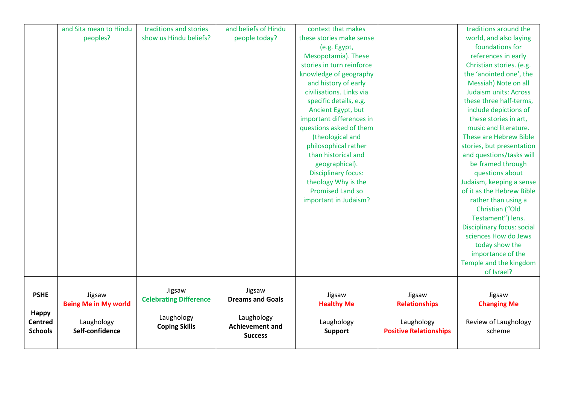|                | and Sita mean to Hindu      | traditions and stories        | and beliefs of Hindu    | context that makes         |                               | traditions around the             |
|----------------|-----------------------------|-------------------------------|-------------------------|----------------------------|-------------------------------|-----------------------------------|
|                | peoples?                    | show us Hindu beliefs?        | people today?           | these stories make sense   |                               | world, and also laying            |
|                |                             |                               |                         | (e.g. Egypt,               |                               | foundations for                   |
|                |                             |                               |                         | Mesopotamia). These        |                               | references in early               |
|                |                             |                               |                         | stories in turn reinforce  |                               | Christian stories. (e.g.          |
|                |                             |                               |                         | knowledge of geography     |                               | the 'anointed one', the           |
|                |                             |                               |                         | and history of early       |                               | Messiah) Note on all              |
|                |                             |                               |                         | civilisations. Links via   |                               | <b>Judaism units: Across</b>      |
|                |                             |                               |                         | specific details, e.g.     |                               | these three half-terms,           |
|                |                             |                               |                         | Ancient Egypt, but         |                               | include depictions of             |
|                |                             |                               |                         | important differences in   |                               | these stories in art,             |
|                |                             |                               |                         | questions asked of them    |                               | music and literature.             |
|                |                             |                               |                         | (theological and           |                               | These are Hebrew Bible            |
|                |                             |                               |                         | philosophical rather       |                               | stories, but presentation         |
|                |                             |                               |                         | than historical and        |                               | and questions/tasks will          |
|                |                             |                               |                         | geographical).             |                               | be framed through                 |
|                |                             |                               |                         | <b>Disciplinary focus:</b> |                               | questions about                   |
|                |                             |                               |                         | theology Why is the        |                               | Judaism, keeping a sense          |
|                |                             |                               |                         | <b>Promised Land so</b>    |                               | of it as the Hebrew Bible         |
|                |                             |                               |                         | important in Judaism?      |                               | rather than using a               |
|                |                             |                               |                         |                            |                               | Christian ("Old                   |
|                |                             |                               |                         |                            |                               | Testament") lens.                 |
|                |                             |                               |                         |                            |                               | <b>Disciplinary focus: social</b> |
|                |                             |                               |                         |                            |                               | sciences How do Jews              |
|                |                             |                               |                         |                            |                               | today show the                    |
|                |                             |                               |                         |                            |                               | importance of the                 |
|                |                             |                               |                         |                            |                               | Temple and the kingdom            |
|                |                             |                               |                         |                            |                               | of Israel?                        |
|                |                             |                               |                         |                            |                               |                                   |
| <b>PSHE</b>    | Jigsaw                      | Jigsaw                        | Jigsaw                  | Jigsaw                     | Jigsaw                        | Jigsaw                            |
|                | <b>Being Me in My world</b> | <b>Celebrating Difference</b> | <b>Dreams and Goals</b> | <b>Healthy Me</b>          | <b>Relationships</b>          | <b>Changing Me</b>                |
| <b>Happy</b>   |                             |                               |                         |                            |                               |                                   |
| <b>Centred</b> | Laughology                  | Laughology                    | Laughology              | Laughology                 | Laughology                    | Review of Laughology              |
| <b>Schools</b> | Self-confidence             | <b>Coping Skills</b>          | <b>Achievement and</b>  | <b>Support</b>             | <b>Positive Relationships</b> | scheme                            |
|                |                             |                               | <b>Success</b>          |                            |                               |                                   |
|                |                             |                               |                         |                            |                               |                                   |